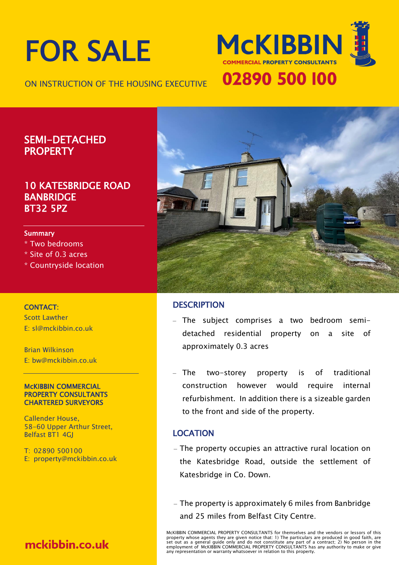# FOR SALE

ON INSTRUCTION OF THE HOUSING EXECUTIVE



### SEMI-DETACHED **PROPERTY**

#### 10 KATESBRIDGE ROAD BANBRIDGE BT32 5PZ

#### Summary

- \* Two bedrooms
- \* Site of 0.3 acres
- \* Countryside location

#### CONTACT:

Scott Lawther E: sl@mckibbin.co.uk

Brian Wilkinson E: bw@mckibbin.co.uk

#### McKIBBIN COMMERCIAL PROPERTY CONSULTANTS CHARTERED SURVEYORS

Callender House, 58-60 Upper Arthur Street, Belfast BT1 4GJ

T: 02890 500100 E: property@mckibbin.co.uk

# mckibbin.co.uk



#### **DESCRIPTION**

- ‒ The subject comprises a two bedroom semidetached residential property on a site of approximately 0.3 acres
- ‒ The two-storey property is of traditional construction however would require internal refurbishment. In addition there is a sizeable garden to the front and side of the property.

#### LOCATION

- ‒ The property occupies an attractive rural location on the Katesbridge Road, outside the settlement of Katesbridge in Co. Down.
- ‒ The property is approximately 6 miles from Banbridge and 25 miles from Belfast City Centre.

McKIBBIN COMMERCIAL PROPERTY CONSULTANTS for themselves and the vendors or lessors of this property whose agents they are given notice that: 1) The particulars are produced in good faith, are<br>set out as a general guide only and do not constitute any part of a contract; 2) No person in the<br>employment of McKIBBIN any representation or warranty whatsoever in relation to this property.